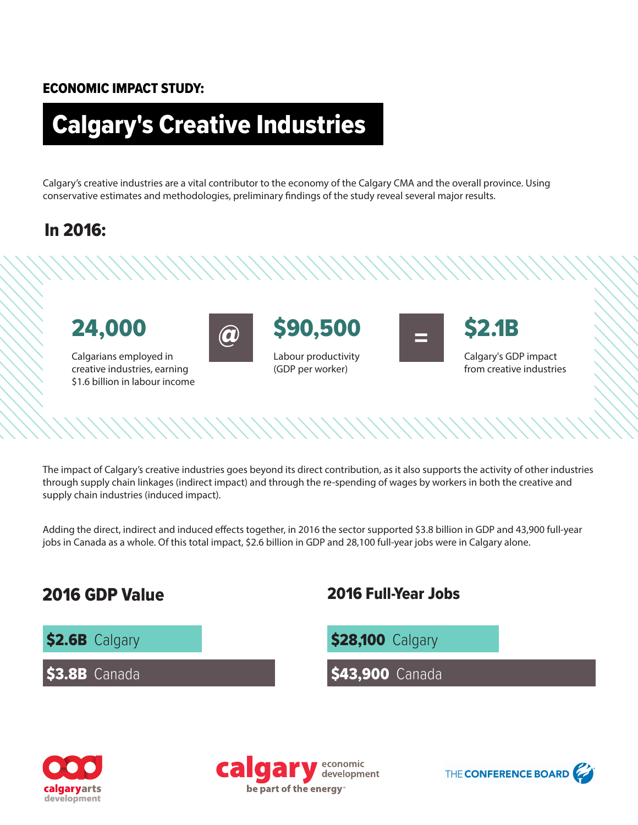#### ECONOMIC IMPACT STUDY:

# Calgary's Creative Industries

Calgary's creative industries are a vital contributor to the economy of the Calgary CMA and the overall province. Using conservative estimates and methodologies, preliminary findings of the study reveal several major results.

#### In 2016:



The impact of Calgary's creative industries goes beyond its direct contribution, as it also supports the activity of other industries through supply chain linkages (indirect impact) and through the re-spending of wages by workers in both the creative and supply chain industries (induced impact).

Adding the direct, indirect and induced effects together, in 2016 the sector supported \$3.8 billion in GDP and 43,900 full-year jobs in Canada as a whole. Of this total impact, \$2.6 billion in GDP and 28,100 full-year jobs were in Calgary alone.